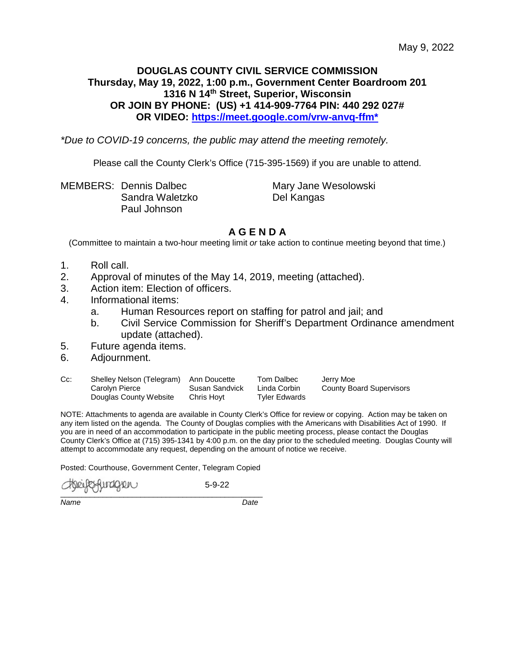# **DOUGLAS COUNTY CIVIL SERVICE COMMISSION Thursday, May 19, 2022, 1:00 p.m., Government Center Boardroom 201 1316 N 14th Street, Superior, Wisconsin OR JOIN BY PHONE: (US) +1 414-909-7764 PIN: 440 292 027# OR VIDEO: [https://meet.google.com/vrw-anvq-ffm\\*](https://meet.google.com/vrw-anvq-ffm*)**

*\*Due to COVID-19 concerns, the public may attend the meeting remotely.*

Please call the County Clerk's Office (715-395-1569) if you are unable to attend.

MEMBERS: Dennis Dalbec Mary Jane Wesolowski Sandra Waletzko Del Kangas Paul Johnson

# **A G E N D A**

(Committee to maintain a two-hour meeting limit *or* take action to continue meeting beyond that time.)

- 1. Roll call.
- 2. Approval of minutes of the May 14, 2019, meeting (attached).
- 3. Action item: Election of officers.
- 4. Informational items:
	- a. Human Resources report on staffing for patrol and jail; and
	- b. Civil Service Commission for Sheriff's Department Ordinance amendment update (attached).
- 5. Future agenda items.
- 6. Adjournment.
- Cc: Shelley Nelson (Telegram) Ann Doucette Tom Dalbec Jerry Moe Carolyn Pierce Susan Sandvick Linda Corbin County Board Supervisors Douglas County Website Chris Hoyt Tyler Edwards

NOTE: Attachments to agenda are available in County Clerk's Office for review or copying. Action may be taken on any item listed on the agenda. The County of Douglas complies with the Americans with Disabilities Act of 1990. If you are in need of an accommodation to participate in the public meeting process, please contact the Douglas County Clerk's Office at (715) 395-1341 by 4:00 p.m. on the day prior to the scheduled meeting. Douglas County will attempt to accommodate any request, depending on the amount of notice we receive.

Posted: Courthouse, Government Center, Telegram Copied

fundigveru  $\overline{\phantom{a}}$ 

5-9-22

*Name Date*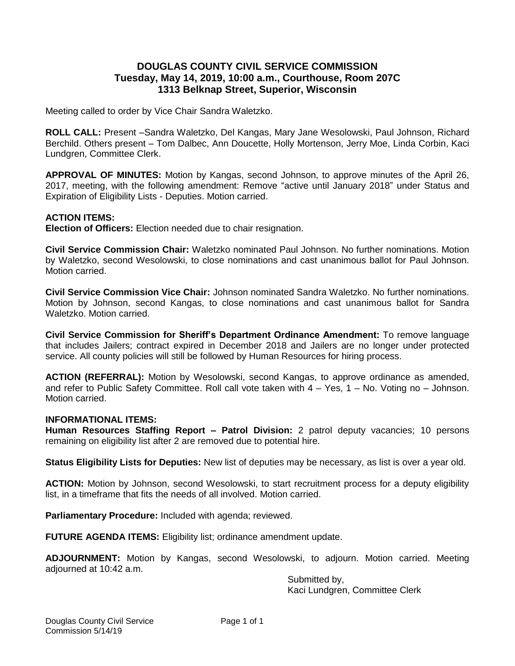## **DOUGLAS COUNTY CIVIL SERVICE COMMISSION Tuesday, May 14, 2019, 10:00 a.m., Courthouse, Room 207C 1313 Belknap Street, Superior, Wisconsin**

Meeting called to order by Vice Chair Sandra Waletzko.

**ROLL CALL:** Present –Sandra Waletzko, Del Kangas, Mary Jane Wesolowski, Paul Johnson, Richard Berchild. Others present – Tom Dalbec, Ann Doucette, Holly Mortenson, Jerry Moe, Linda Corbin, Kaci Lundgren, Committee Clerk.

**APPROVAL OF MINUTES:** Motion by Kangas, second Johnson, to approve minutes of the April 26, 2017, meeting, with the following amendment: Remove "active until January 2018" under Status and Expiration of Eligibility Lists - Deputies. Motion carried.

### **ACTION ITEMS:**

**Election of Officers:** Election needed due to chair resignation.

**Civil Service Commission Chair:** Waletzko nominated Paul Johnson. No further nominations. Motion by Waletzko, second Wesolowski, to close nominations and cast unanimous ballot for Paul Johnson. Motion carried.

**Civil Service Commission Vice Chair:** Johnson nominated Sandra Waletzko. No further nominations. Motion by Johnson, second Kangas, to close nominations and cast unanimous ballot for Sandra Waletzko. Motion carried.

**Civil Service Commission for Sheriff's Department Ordinance Amendment:** To remove language that includes Jailers; contract expired in December 2018 and Jailers are no longer under protected service. All county policies will still be followed by Human Resources for hiring process.

**ACTION (REFERRAL):** Motion by Wesolowski, second Kangas, to approve ordinance as amended, and refer to Public Safety Committee. Roll call vote taken with 4 – Yes, 1 – No. Voting no – Johnson. Motion carried.

#### **INFORMATIONAL ITEMS:**

**Human Resources Staffing Report – Patrol Division:** 2 patrol deputy vacancies; 10 persons remaining on eligibility list after 2 are removed due to potential hire.

**Status Eligibility Lists for Deputies:** New list of deputies may be necessary, as list is over a year old.

**ACTION:** Motion by Johnson, second Wesolowski, to start recruitment process for a deputy eligibility list, in a timeframe that fits the needs of all involved. Motion carried.

**Parliamentary Procedure:** Included with agenda; reviewed.

FUTURE AGENDA ITEMS: Eligibility list; ordinance amendment update.

**ADJOURNMENT:** Motion by Kangas, second Wesolowski, to adjourn. Motion carried. Meeting adjourned at 10:42 a.m.

Submitted by, Kaci Lundgren, Committee Clerk